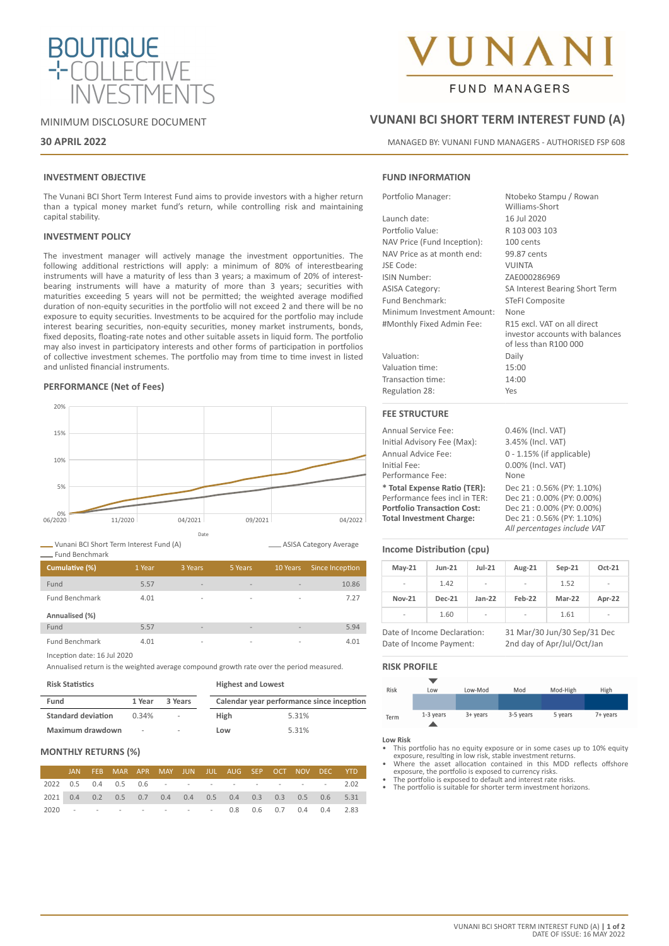

# MINIMUM DISCLOSURE DOCUMENT

# **30 APRIL 2022**

# **INVESTMENT OBJECTIVE**

The Vunani BCI Short Term Interest Fund aims to provide investors with a higher return than a typical money market fund's return, while controlling risk and maintaining capital stability.

## **INVESTMENT POLICY**

The investment manager will actively manage the investment opportunities. The following additional restrictions will apply: a minimum of 80% of interestbearing instruments will have a maturity of less than 3 years; a maximum of 20% of interestbearing instruments will have a maturity of more than 3 years; securities with maturities exceeding 5 years will not be permitted; the weighted average modified duration of non-equity securities in the portfolio will not exceed 2 and there will be no exposure to equity securities. Investments to be acquired for the portfolio may include interest bearing securities, non-equity securities, money market instruments, bonds, fixed deposits, floating-rate notes and other suitable assets in liquid form. The portfolio may also invest in participatory interests and other forms of participation in portfolios of collective investment schemes. The portfolio may from time to time invest in listed and unlisted financial instruments.

## **PERFORMANCE (Net of Fees)**



Vunani BCI Short Term Interest Fund (A)

ASISA Category Average

| Cumulative (%)        | 1 Year | 3 Years                  | 5 Years                  | 10 Years                 | Since Inception |
|-----------------------|--------|--------------------------|--------------------------|--------------------------|-----------------|
| Fund                  | 5.57   | $\overline{\phantom{a}}$ | $\overline{\phantom{a}}$ | -                        | 10.86           |
| <b>Fund Benchmark</b> | 4.01   | $\overline{\phantom{a}}$ | $\overline{\phantom{a}}$ | -                        | 7.27            |
| Annualised (%)        |        |                          |                          |                          |                 |
| Fund                  | 5.57   | $\sim$                   | $\overline{\phantom{a}}$ | -                        | 5.94            |
| <b>Fund Benchmark</b> | 4.01   | $\overline{\phantom{a}}$ | $\overline{\phantom{a}}$ | $\overline{\phantom{a}}$ | 4.01            |

Inception date: 16 Jul 2020

Annualised return is the weighted average compound growth rate over the period measured.

**Risk Statistics**

Fund Benchmark

| Fund                      | 1 Year | 3 Years |             | Calendar year performance since inception |
|---------------------------|--------|---------|-------------|-------------------------------------------|
| <b>Standard deviation</b> | 0.34%  | $\sim$  | <b>High</b> | 5.31%                                     |
| Maximum drawdown          | $\sim$ | $\sim$  | Low         | 5.31%                                     |

**Highest and Lowest**

# **MONTHLY RETURNS (%)**

|  | JAN FEB MAR APR MAY JUN JUL AUG SEP OCT NOV DEC YTD                    |  |  |  |  |  |
|--|------------------------------------------------------------------------|--|--|--|--|--|
|  | 2022  0.5  0.4  0.5  0.6  -  -  -  -  -  -  -  -  -  -  -  2.02        |  |  |  |  |  |
|  | 2021  0.4  0.2  0.5  0.7  0.4  0.4  0.5  0.4  0.3  0.3  0.5  0.6  5.31 |  |  |  |  |  |
|  | 2020 - - - - - - - - 0.8 0.6 0.7 0.4 0.4 2.83                          |  |  |  |  |  |

# **NA**

# **FUND MANAGERS**

# **VUNANI BCI SHORT TERM INTEREST FUND (A)**

MANAGED BY: VUNANI FUND MANAGERS - AUTHORISED FSP 608

# **FUND INFORMATION**

| Portfolio Manager:          | Ntobeko Stampu / Rowan<br>Williams-Short                                                |
|-----------------------------|-----------------------------------------------------------------------------------------|
| Launch date:                | 16 Jul 2020                                                                             |
| Portfolio Value:            | R 103 003 103                                                                           |
| NAV Price (Fund Inception): | 100 cents                                                                               |
| NAV Price as at month end:  | 99.87 cents                                                                             |
| JSE Code:                   | <b>VUINTA</b>                                                                           |
| ISIN Number:                | ZAE000286969                                                                            |
| <b>ASISA Category:</b>      | SA Interest Bearing Short Term                                                          |
| Fund Benchmark:             | <b>STeFI Composite</b>                                                                  |
| Minimum Investment Amount:  | None                                                                                    |
| #Monthly Fixed Admin Fee:   | R15 excl. VAT on all direct<br>investor accounts with balances<br>of less than R100 000 |
| Valuation:                  | Daily                                                                                   |
| Valuation time:             | 15:00                                                                                   |
| Transaction time:           | 14:00                                                                                   |
| Regulation 28:              | Yes                                                                                     |
| <b>FEE STRUCTURE</b>        |                                                                                         |
| <b>Annual Service Fee:</b>  | 0.46% (Incl. VAT)                                                                       |
| Initial Advisory Fee (Max): | 3.45% (Incl. VAT)                                                                       |
|                             |                                                                                         |

| Initial Advisory Fee (Max):        | 3.45% (Incl. VAT)            |
|------------------------------------|------------------------------|
| Annual Advice Fee:                 | $0 - 1.15\%$ (if applicable) |
| Initial Fee:                       | 0.00% (Incl. VAT)            |
| Performance Fee:                   | None                         |
| * Total Expense Ratio (TER):       | Dec 21:0.56% (PY: 1.10%)     |
| Performance fees incl in TER:      | Dec 21:0.00% (PY: 0.00%)     |
| <b>Portfolio Transaction Cost:</b> | Dec 21:0.00% (PY: 0.00%)     |
| <b>Total Investment Charge:</b>    | Dec 21:0.56% (PY: 1.10%)     |
|                                    | All percentages include VAT  |

# **Income Distribution (cpu)**

| $May-21$                 | <b>Jun-21</b> | $Jul-21$                 | Aug-21                   | $Sep-21$ | Oct-21                   |
|--------------------------|---------------|--------------------------|--------------------------|----------|--------------------------|
| -                        | 1.42          | $\overline{\phantom{a}}$ | $\overline{\phantom{a}}$ | 1.52     | $\overline{\phantom{a}}$ |
| <b>Nov-21</b>            | <b>Dec-21</b> | $Jan-22$                 | Feb-22                   | Mar-22   | Apr-22                   |
| $\overline{\phantom{a}}$ | 1.60          | $\overline{\phantom{a}}$ | -                        | 1.61     | $\overline{\phantom{a}}$ |

Date of Income Declaration: 31 Mar/30 Jun/30 Sep/31 Dec Date of Income Payment: 2nd day of Apr/Jul/Oct/Jan

## **RISK PROFILE**



**Low Risk**

- This portfolio has no equity exposure or in some cases up to 10% equity exposure, resulting in low risk, stable investment returns. • Where the asset allocation contained in this MDD reflects offshore
- exposure, the portfolio is exposed to currency risks.
- The portfolio is exposed to default and interest rate risks.
- The portfolio is suitable for shorter term investment horizons.